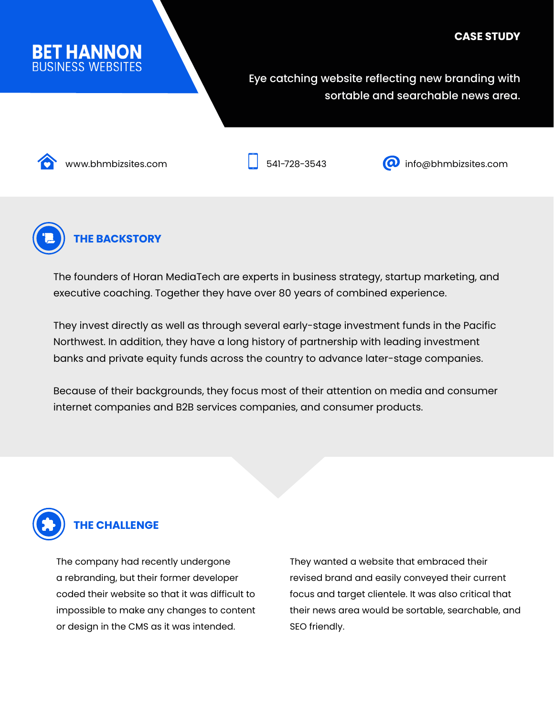

Eye catching website reflecting new branding with sortable and searchable news area.





www.bhmbizsites.com 1941-728-3543 **info@bhmbizsites.com** 



The founders of Horan MediaTech are experts in business strategy, startup marketing, and executive coaching. Together they have over 80 years of combined experience.

They invest directly as well as through several early-stage investment funds in the Pacific Northwest. In addition, they have a long history of partnership with leading investment banks and private equity funds across the country to advance later-stage companies.

Because of their backgrounds, they focus most of their attention on media and consumer internet companies and B2B services companies, and consumer products.



The company had recently undergone a rebranding, but their former developer coded their website so that it was difficult to impossible to make any changes to content or design in the CMS as it was intended.

They wanted a website that embraced their revised brand and easily conveyed their current focus and target clientele. It was also critical that their news area would be sortable, searchable, and SEO friendly.